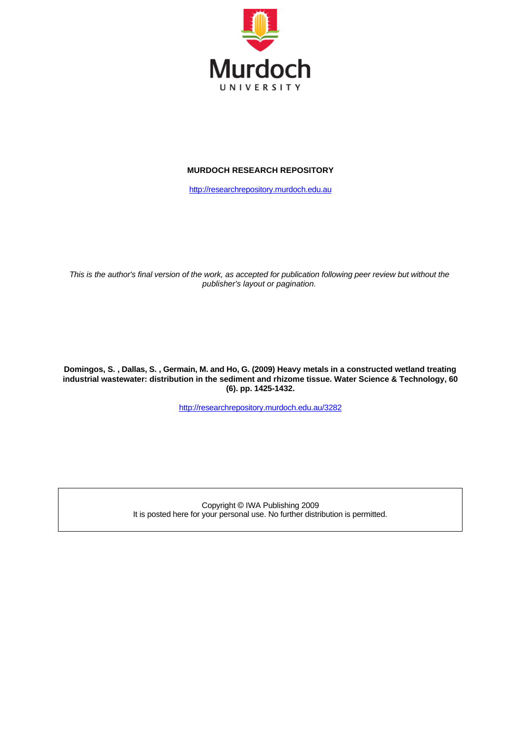

#### **MURDOCH RESEARCH REPOSITORY**

[http://researchrepository.murdoch.edu.au](http://researchrepository.murdoch.edu.au/)

*This is the author's final version of the work, as accepted for publication following peer review but without the publisher's layout or pagination.*

**Domingos, S. , Dallas, S. , Germain, M. and Ho, G. (2009) Heavy metals in a constructed wetland treating industrial wastewater: distribution in the sediment and rhizome tissue. Water Science & Technology, 60 (6). pp. 1425-1432.**

<http://researchrepository.murdoch.edu.au/3282>

Copyright © IWA Publishing 2009 It is posted here for your personal use. No further distribution is permitted.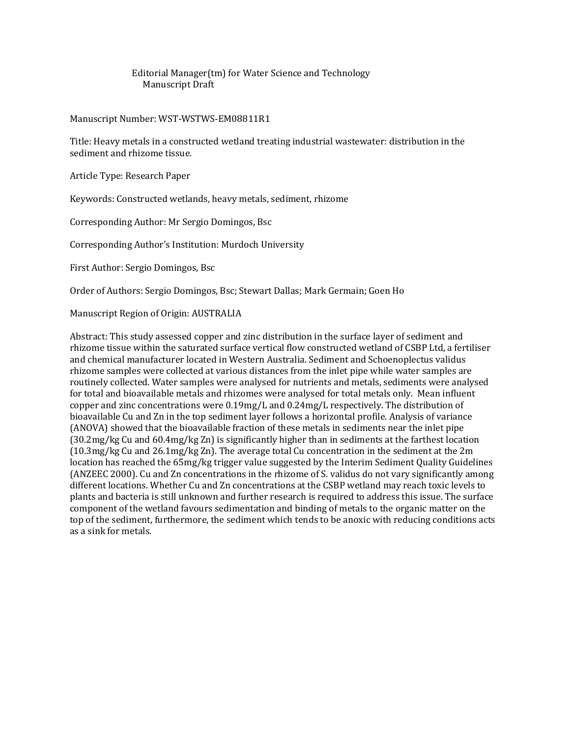#### Editorial Manager(tm) for Water Science and Technology Manuscript Draft

#### Manuscript Number: WST-WSTWS-EM08811R1

Title: Heavy metals in a constructed wetland treating industrial wastewater: distribution in the sediment and rhizome tissue.

Article Type: Research Paper

Keywords: Constructed wetlands, heavy metals, sediment, rhizome

Corresponding Author: Mr Sergio Domingos, Bsc

Corresponding Author's Institution: Murdoch University

First Author: Sergio Domingos, Bsc

Order of Authors: Sergio Domingos, Bsc; Stewart Dallas; Mark Germain; Goen Ho

Manuscript Region of Origin: AUSTRALIA

Abstract: This study assessed copper and zinc distribution in the surface layer of sediment and rhizome tissue within the saturated surface vertical flow constructed wetland of CSBP Ltd, a fertiliser and chemical manufacturer located in Western Australia. Sediment and Schoenoplectus validus rhizome samples were collected at various distances from the inlet pipe while water samples are routinely collected. Water samples were analysed for nutrients and metals, sediments were analysed for total and bioavailable metals and rhizomes were analysed for total metals only. Mean influent copper and zinc concentrations were 0.19mg/L and 0.24mg/L respectively. The distribution of bioavailable Cu and Zn in the top sediment layer follows a horizontal profile. Analysis of variance (ANOVA) showed that the bioavailable fraction of these metals in sediments near the inlet pipe (30.2mg/kg Cu and 60.4mg/kg Zn) is significantly higher than in sediments at the farthest location (10.3mg/kg Cu and 26.1mg/kg Zn). The average total Cu concentration in the sediment at the 2m location has reached the 65mg/kg trigger value suggested by the Interim Sediment Quality Guidelines (ANZEEC 2000). Cu and Zn concentrations in the rhizome of S. validus do not vary significantly among different locations. Whether Cu and Zn concentrations at the CSBP wetland may reach toxic levels to plants and bacteria is still unknown and further research is required to address this issue. The surface component of the wetland favours sedimentation and binding of metals to the organic matter on the top of the sediment, furthermore, the sediment which tends to be anoxic with reducing conditions acts as a sink for metals.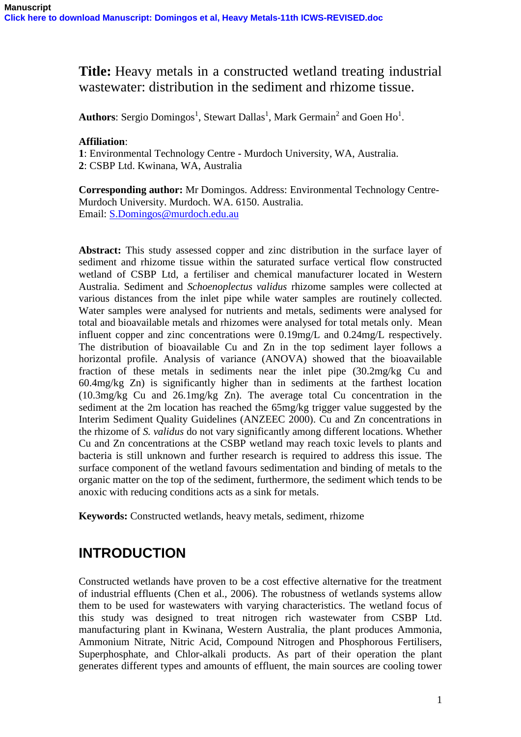# **Title:** Heavy metals in a constructed wetland treating industrial wastewater: distribution in the sediment and rhizome tissue.

**Authors**: Sergio Domingos<sup>1</sup>, Stewart Dallas<sup>1</sup>, Mark Germain<sup>2</sup> and Goen Ho<sup>1</sup>.

#### **Affiliation**:

**1**: Environmental Technology Centre - Murdoch University, WA, Australia. **2**: CSBP Ltd. Kwinana, WA, Australia

**Corresponding author:** Mr Domingos. Address: Environmental Technology Centre-Murdoch University. Murdoch. WA. 6150. Australia. Email: [S.Domingos@murdoch.edu.au](mailto:S.Domingos@murdoch.edu.au)

**Abstract:** This study assessed copper and zinc distribution in the surface layer of sediment and rhizome tissue within the saturated surface vertical flow constructed wetland of CSBP Ltd, a fertiliser and chemical manufacturer located in Western Australia. Sediment and *Schoenoplectus validus* rhizome samples were collected at various distances from the inlet pipe while water samples are routinely collected. Water samples were analysed for nutrients and metals, sediments were analysed for total and bioavailable metals and rhizomes were analysed for total metals only. Mean influent copper and zinc concentrations were 0.19mg/L and 0.24mg/L respectively. The distribution of bioavailable Cu and Zn in the top sediment layer follows a horizontal profile. Analysis of variance (ANOVA) showed that the bioavailable fraction of these metals in sediments near the inlet pipe (30.2mg/kg Cu and 60.4mg/kg Zn) is significantly higher than in sediments at the farthest location (10.3mg/kg Cu and 26.1mg/kg Zn). The average total Cu concentration in the sediment at the 2m location has reached the 65mg/kg trigger value suggested by the Interim Sediment Quality Guidelines (ANZEEC 2000). Cu and Zn concentrations in the rhizome of *S. validus* do not vary significantly among different locations. Whether Cu and Zn concentrations at the CSBP wetland may reach toxic levels to plants and bacteria is still unknown and further research is required to address this issue. The surface component of the wetland favours sedimentation and binding of metals to the organic matter on the top of the sediment, furthermore, the sediment which tends to be anoxic with reducing conditions acts as a sink for metals.

**Keywords:** Constructed wetlands, heavy metals, sediment, rhizome

# **INTRODUCTION**

Constructed wetlands have proven to be a cost effective alternative for the treatment of industrial effluents (Chen et al., 2006). The robustness of wetlands systems allow them to be used for wastewaters with varying characteristics. The wetland focus of this study was designed to treat nitrogen rich wastewater from CSBP Ltd. manufacturing plant in Kwinana, Western Australia, the plant produces Ammonia, Ammonium Nitrate, Nitric Acid, Compound Nitrogen and Phosphorous Fertilisers, Superphosphate, and Chlor-alkali products. As part of their operation the plant generates different types and amounts of effluent, the main sources are cooling tower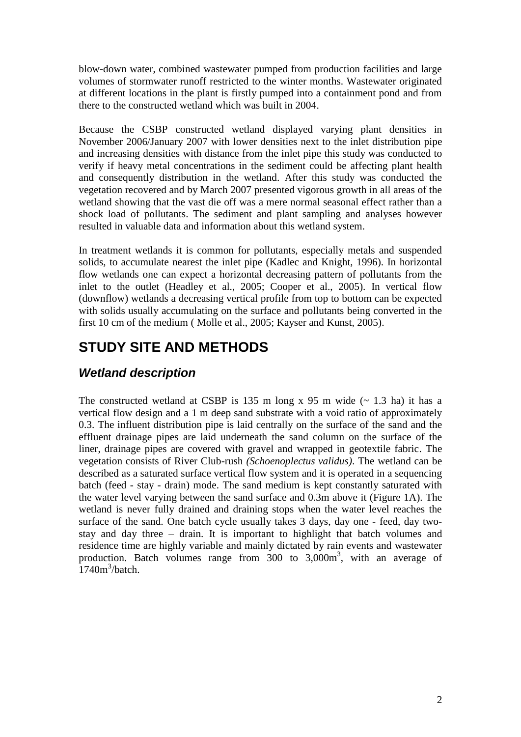blow-down water, combined wastewater pumped from production facilities and large volumes of stormwater runoff restricted to the winter months. Wastewater originated at different locations in the plant is firstly pumped into a containment pond and from there to the constructed wetland which was built in 2004.

Because the CSBP constructed wetland displayed varying plant densities in November 2006/January 2007 with lower densities next to the inlet distribution pipe and increasing densities with distance from the inlet pipe this study was conducted to verify if heavy metal concentrations in the sediment could be affecting plant health and consequently distribution in the wetland. After this study was conducted the vegetation recovered and by March 2007 presented vigorous growth in all areas of the wetland showing that the vast die off was a mere normal seasonal effect rather than a shock load of pollutants. The sediment and plant sampling and analyses however resulted in valuable data and information about this wetland system.

In treatment wetlands it is common for pollutants, especially metals and suspended solids, to accumulate nearest the inlet pipe (Kadlec and Knight, 1996). In horizontal flow wetlands one can expect a horizontal decreasing pattern of pollutants from the inlet to the outlet (Headley et al., 2005; Cooper et al., 2005). In vertical flow (downflow) wetlands a decreasing vertical profile from top to bottom can be expected with solids usually accumulating on the surface and pollutants being converted in the first 10 cm of the medium ( Molle et al., 2005; Kayser and Kunst, 2005).

# **STUDY SITE AND METHODS**

# *Wetland description*

The constructed wetland at CSBP is 135 m long  $x$  95 m wide ( $\sim$  1.3 ha) it has a vertical flow design and a 1 m deep sand substrate with a void ratio of approximately 0.3. The influent distribution pipe is laid centrally on the surface of the sand and the effluent drainage pipes are laid underneath the sand column on the surface of the liner, drainage pipes are covered with gravel and wrapped in geotextile fabric. The vegetation consists of River Club-rush *(Schoenoplectus validus)*. The wetland can be described as a saturated surface vertical flow system and it is operated in a sequencing batch (feed - stay - drain) mode. The sand medium is kept constantly saturated with the water level varying between the sand surface and 0.3m above it (Figure 1A). The wetland is never fully drained and draining stops when the water level reaches the surface of the sand. One batch cycle usually takes 3 days, day one - feed, day twostay and day three – drain. It is important to highlight that batch volumes and residence time are highly variable and mainly dictated by rain events and wastewater production. Batch volumes range from 300 to 3,000m<sup>3</sup>, with an average of  $1740m^3/b$ atch.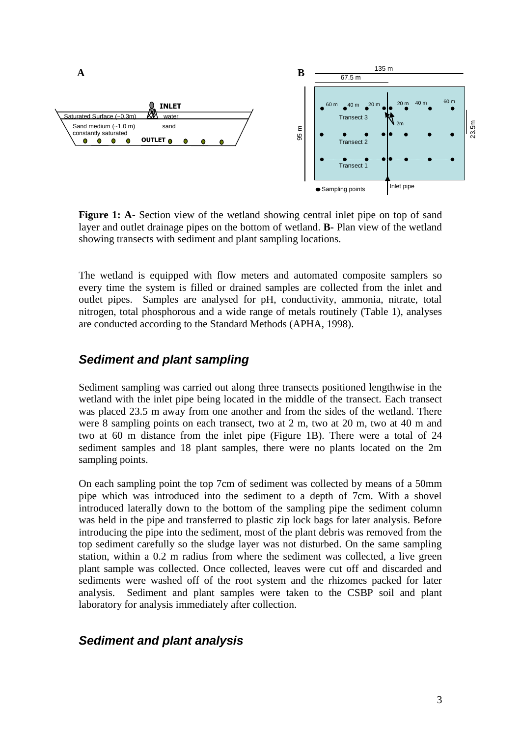

**Figure 1: A-** Section view of the wetland showing central inlet pipe on top of sand layer and outlet drainage pipes on the bottom of wetland. **B-** Plan view of the wetland showing transects with sediment and plant sampling locations.

The wetland is equipped with flow meters and automated composite samplers so every time the system is filled or drained samples are collected from the inlet and outlet pipes. Samples are analysed for pH, conductivity, ammonia, nitrate, total nitrogen, total phosphorous and a wide range of metals routinely (Table 1), analyses are conducted according to the Standard Methods (APHA, 1998).

### *Sediment and plant sampling*

Sediment sampling was carried out along three transects positioned lengthwise in the wetland with the inlet pipe being located in the middle of the transect. Each transect was placed 23.5 m away from one another and from the sides of the wetland. There were 8 sampling points on each transect, two at 2 m, two at 20 m, two at 40 m and two at 60 m distance from the inlet pipe (Figure 1B). There were a total of 24 sediment samples and 18 plant samples, there were no plants located on the 2m sampling points.

On each sampling point the top 7cm of sediment was collected by means of a 50mm pipe which was introduced into the sediment to a depth of 7cm. With a shovel introduced laterally down to the bottom of the sampling pipe the sediment column was held in the pipe and transferred to plastic zip lock bags for later analysis. Before introducing the pipe into the sediment, most of the plant debris was removed from the top sediment carefully so the sludge layer was not disturbed. On the same sampling station, within a 0.2 m radius from where the sediment was collected, a live green plant sample was collected. Once collected, leaves were cut off and discarded and sediments were washed off of the root system and the rhizomes packed for later analysis. Sediment and plant samples were taken to the CSBP soil and plant laboratory for analysis immediately after collection.

### *Sediment and plant analysis*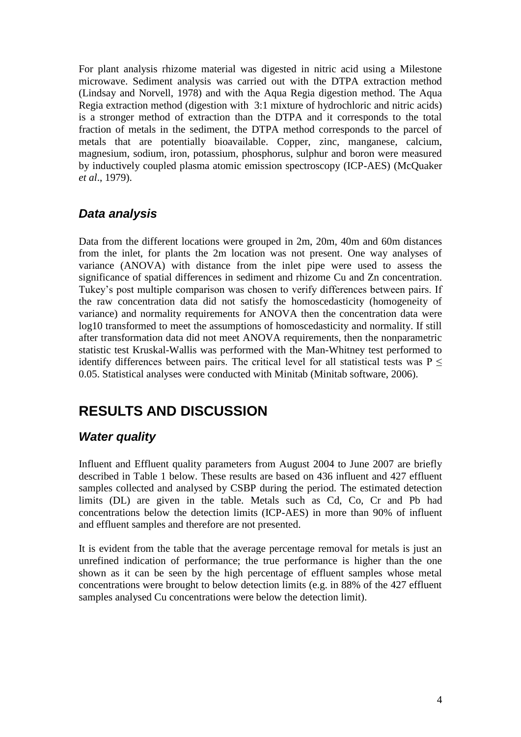For plant analysis rhizome material was digested in nitric acid using a Milestone microwave. Sediment analysis was carried out with the DTPA extraction method (Lindsay and Norvell, 1978) and with the Aqua Regia digestion method. The Aqua Regia extraction method (digestion with 3:1 mixture of hydrochloric and nitric acids) is a stronger method of extraction than the DTPA and it corresponds to the total fraction of metals in the sediment, the DTPA method corresponds to the parcel of metals that are potentially bioavailable. Copper, zinc, manganese, calcium, magnesium, sodium, iron, potassium, phosphorus, sulphur and boron were measured by inductively coupled plasma atomic emission spectroscopy (ICP-AES) (McQuaker *et al*., 1979).

### *Data analysis*

Data from the different locations were grouped in 2m, 20m, 40m and 60m distances from the inlet, for plants the 2m location was not present. One way analyses of variance (ANOVA) with distance from the inlet pipe were used to assess the significance of spatial differences in sediment and rhizome Cu and Zn concentration. Tukey's post multiple comparison was chosen to verify differences between pairs. If the raw concentration data did not satisfy the homoscedasticity (homogeneity of variance) and normality requirements for ANOVA then the concentration data were log10 transformed to meet the assumptions of homoscedasticity and normality. If still after transformation data did not meet ANOVA requirements, then the nonparametric statistic test Kruskal-Wallis was performed with the Man-Whitney test performed to identify differences between pairs. The critical level for all statistical tests was  $P \leq$ 0.05. Statistical analyses were conducted with Minitab (Minitab software, 2006).

# **RESULTS AND DISCUSSION**

## *Water quality*

Influent and Effluent quality parameters from August 2004 to June 2007 are briefly described in Table 1 below. These results are based on 436 influent and 427 effluent samples collected and analysed by CSBP during the period. The estimated detection limits (DL) are given in the table. Metals such as Cd, Co, Cr and Pb had concentrations below the detection limits (ICP-AES) in more than 90% of influent and effluent samples and therefore are not presented.

It is evident from the table that the average percentage removal for metals is just an unrefined indication of performance; the true performance is higher than the one shown as it can be seen by the high percentage of effluent samples whose metal concentrations were brought to below detection limits (e.g. in 88% of the 427 effluent samples analysed Cu concentrations were below the detection limit).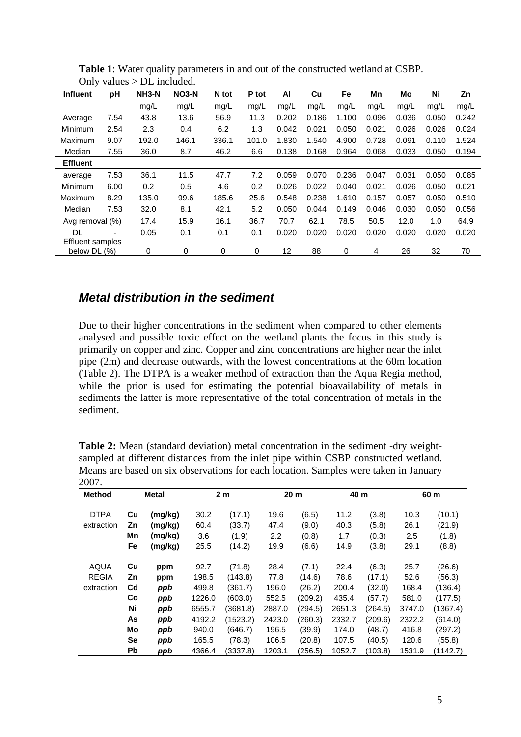| $\mathcal{L}$<br>$\frac{1}{2}$<br>DE MONGOLI |      |                    |              |       |       |       |       |       |       |       |       |       |
|----------------------------------------------|------|--------------------|--------------|-------|-------|-------|-------|-------|-------|-------|-------|-------|
| <b>Influent</b>                              | рH   | NH <sub>3</sub> -N | <b>NO3-N</b> | N tot | P tot | ΑI    | Cu    | Fe    | Mn    | Mo    | Ni    | Zn    |
|                                              |      | mg/L               | mg/L         | mg/L  | mg/L  | mg/L  | mg/L  | mg/L  | mg/L  | mg/L  | mg/L  | mg/L  |
| Average                                      | 7.54 | 43.8               | 13.6         | 56.9  | 11.3  | 0.202 | 0.186 | 1.100 | 0.096 | 0.036 | 0.050 | 0.242 |
| Minimum                                      | 2.54 | 2.3                | 0.4          | 6.2   | 1.3   | 0.042 | 0.021 | 0.050 | 0.021 | 0.026 | 0.026 | 0.024 |
| Maximum                                      | 9.07 | 192.0              | 146.1        | 336.1 | 101.0 | 1.830 | 1.540 | 4.900 | 0.728 | 0.091 | 0.110 | 1.524 |
| Median                                       | 7.55 | 36.0               | 8.7          | 46.2  | 6.6   | 0.138 | 0.168 | 0.964 | 0.068 | 0.033 | 0.050 | 0.194 |
| <b>Effluent</b>                              |      |                    |              |       |       |       |       |       |       |       |       |       |
| average                                      | 7.53 | 36.1               | 11.5         | 47.7  | 7.2   | 0.059 | 0.070 | 0.236 | 0.047 | 0.031 | 0.050 | 0.085 |
| Minimum                                      | 6.00 | 0.2                | 0.5          | 4.6   | 0.2   | 0.026 | 0.022 | 0.040 | 0.021 | 0.026 | 0.050 | 0.021 |
| Maximum                                      | 8.29 | 135.0              | 99.6         | 185.6 | 25.6  | 0.548 | 0.238 | 1.610 | 0.157 | 0.057 | 0.050 | 0.510 |
| Median                                       | 7.53 | 32.0               | 8.1          | 42.1  | 5.2   | 0.050 | 0.044 | 0.149 | 0.046 | 0.030 | 0.050 | 0.056 |
| Avg removal (%)                              |      | 17.4               | 15.9         | 16.1  | 36.7  | 70.7  | 62.1  | 78.5  | 50.5  | 12.0  | 1.0   | 64.9  |
| DL                                           | ۰    | 0.05               | 0.1          | 0.1   | 0.1   | 0.020 | 0.020 | 0.020 | 0.020 | 0.020 | 0.020 | 0.020 |
| <b>Effluent samples</b>                      |      |                    |              |       |       |       |       |       |       |       |       |       |
| below DL (%)                                 |      | 0                  | 0            | 0     | 0     | 12    | 88    | 0     | 4     | 26    | 32    | 70    |

**Table 1**: Water quality parameters in and out of the constructed wetland at CSBP. Only values  $>$  DL included.

### *Metal distribution in the sediment*

Due to their higher concentrations in the sediment when compared to other elements analysed and possible toxic effect on the wetland plants the focus in this study is primarily on copper and zinc. Copper and zinc concentrations are higher near the inlet pipe (2m) and decrease outwards, with the lowest concentrations at the 60m location (Table 2). The DTPA is a weaker method of extraction than the Aqua Regia method, while the prior is used for estimating the potential bioavailability of metals in sediments the latter is more representative of the total concentration of metals in the sediment.

| 2007.         |       |         |                |          |                 |         |        |         |        |          |
|---------------|-------|---------|----------------|----------|-----------------|---------|--------|---------|--------|----------|
| <b>Method</b> | Metal |         | 2 <sub>m</sub> |          | 20 <sub>m</sub> |         | 40 m   |         | 60 m   |          |
| <b>DTPA</b>   | Cu    | (mg/kg) | 30.2           | (17.1)   | 19.6            | (6.5)   | 11.2   | (3.8)   | 10.3   | (10.1)   |
| extraction    | Ζn    | (mg/kg) | 60.4           | (33.7)   | 47.4            | (9.0)   | 40.3   | (5.8)   | 26.1   | (21.9)   |
|               | Mn    | (mg/kg) | 3.6            | (1.9)    | 2.2             | (0.8)   | 1.7    | (0.3)   | 2.5    | (1.8)    |
|               | Fe    | (mg/kg) | 25.5           | (14.2)   | 19.9            | (6.6)   | 14.9   | (3.8)   | 29.1   | (8.8)    |
|               |       |         |                |          |                 |         |        |         |        |          |
| AQUA          | Cu    | ppm     | 92.7           | (71.8)   | 28.4            | (7.1)   | 22.4   | (6.3)   | 25.7   | (26.6)   |
| <b>REGIA</b>  | Zn    | ppm     | 198.5          | (143.8)  | 77.8            | (14.6)  | 78.6   | (17.1)  | 52.6   | (56.3)   |
| extraction    | Cd    | ppb     | 499.8          | (361.7)  | 196.0           | (26.2)  | 200.4  | (32.0)  | 168.4  | (136.4)  |
|               | Co    | ppb     | 1226.0         | (603.0)  | 552.5           | (209.2) | 435.4  | (57.7)  | 581.0  | (177.5)  |
|               | Ni    | ppb     | 6555.7         | (3681.8) | 2887.0          | (294.5) | 2651.3 | (264.5) | 3747.0 | (1367.4) |
|               | As    | ppb     | 4192.2         | (1523.2) | 2423.0          | (260.3) | 2332.7 | (209.6) | 2322.2 | (614.0)  |
|               | Mo    | ppb     | 940.0          | (646.7)  | 196.5           | (39.9)  | 174.0  | (48.7)  | 416.8  | (297.2)  |
|               | Se    | ppb     | 165.5          | (78.3)   | 106.5           | (20.8)  | 107.5  | (40.5)  | 120.6  | (55.8)   |
|               | Pb    | ppb     | 4366.4         | (3337.8) | 1203.1          | (256.5) | 1052.7 | (103.8) | 1531.9 | (1142.7) |

**Table 2:** Mean (standard deviation) metal concentration in the sediment -dry weightsampled at different distances from the inlet pipe within CSBP constructed wetland. Means are based on six observations for each location. Samples were taken in January 2007.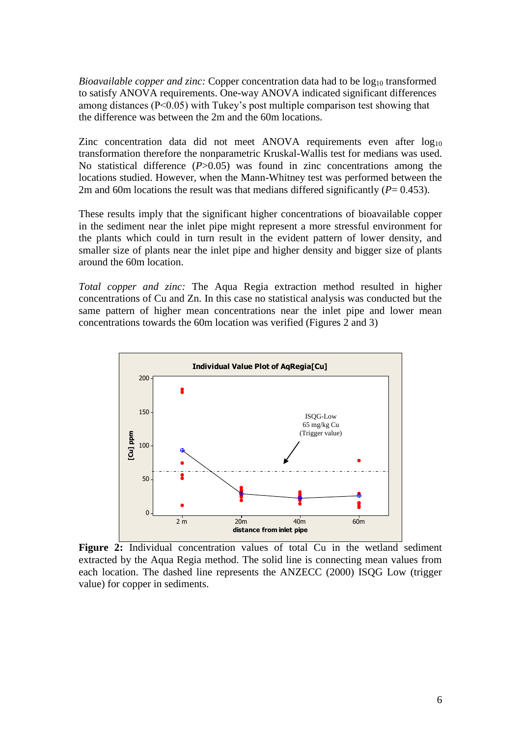*Bioavailable copper and zinc:* Copper concentration data had to be log<sub>10</sub> transformed to satisfy ANOVA requirements. One-way ANOVA indicated significant differences among distances (P<0.05) with Tukey's post multiple comparison test showing that the difference was between the 2m and the 60m locations.

Zinc concentration data did not meet ANOVA requirements even after  $log_{10}$ transformation therefore the nonparametric Kruskal-Wallis test for medians was used. No statistical difference (*P*>0.05) was found in zinc concentrations among the locations studied. However, when the Mann-Whitney test was performed between the 2m and 60m locations the result was that medians differed significantly  $(P= 0.453)$ .

These results imply that the significant higher concentrations of bioavailable copper in the sediment near the inlet pipe might represent a more stressful environment for the plants which could in turn result in the evident pattern of lower density, and smaller size of plants near the inlet pipe and higher density and bigger size of plants around the 60m location.

*Total copper and zinc:* The Aqua Regia extraction method resulted in higher concentrations of Cu and Zn. In this case no statistical analysis was conducted but the same pattern of higher mean concentrations near the inlet pipe and lower mean concentrations towards the 60m location was verified (Figures 2 and 3)



**Figure 2:** Individual concentration values of total Cu in the wetland sediment extracted by the Aqua Regia method. The solid line is connecting mean values from each location. The dashed line represents the ANZECC (2000) ISQG Low (trigger value) for copper in sediments.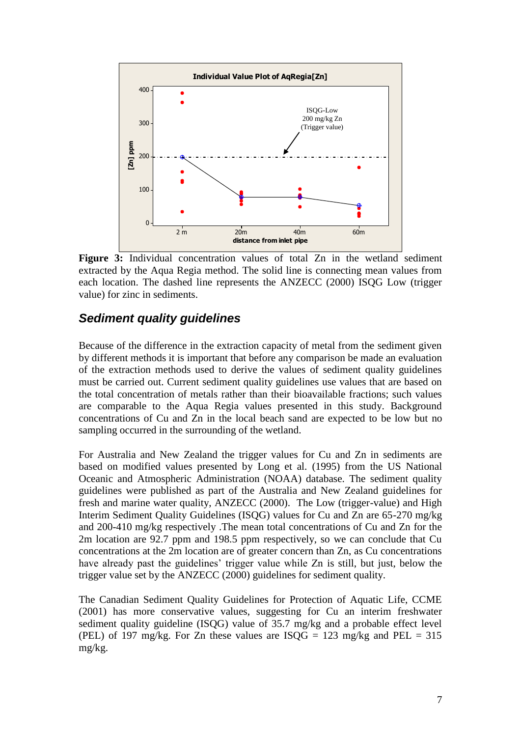

**Figure 3:** Individual concentration values of total Zn in the wetland sediment extracted by the Aqua Regia method. The solid line is connecting mean values from each location. The dashed line represents the ANZECC (2000) ISQG Low (trigger value) for zinc in sediments.

## *Sediment quality guidelines*

Because of the difference in the extraction capacity of metal from the sediment given by different methods it is important that before any comparison be made an evaluation of the extraction methods used to derive the values of sediment quality guidelines must be carried out. Current sediment quality guidelines use values that are based on the total concentration of metals rather than their bioavailable fractions; such values are comparable to the Aqua Regia values presented in this study. Background concentrations of Cu and Zn in the local beach sand are expected to be low but no sampling occurred in the surrounding of the wetland.

For Australia and New Zealand the trigger values for Cu and Zn in sediments are based on modified values presented by Long et al. (1995) from the US National Oceanic and Atmospheric Administration (NOAA) database. The sediment quality guidelines were published as part of the Australia and New Zealand guidelines for fresh and marine water quality, ANZECC (2000). The Low (trigger-value) and High Interim Sediment Quality Guidelines (ISQG) values for Cu and Zn are 65-270 mg/kg and 200-410 mg/kg respectively .The mean total concentrations of Cu and Zn for the 2m location are 92.7 ppm and 198.5 ppm respectively, so we can conclude that Cu concentrations at the 2m location are of greater concern than Zn, as Cu concentrations have already past the guidelines' trigger value while Zn is still, but just, below the trigger value set by the ANZECC (2000) guidelines for sediment quality.

The Canadian Sediment Quality Guidelines for Protection of Aquatic Life, CCME (2001) has more conservative values, suggesting for Cu an interim freshwater sediment quality guideline (ISQG) value of 35.7 mg/kg and a probable effect level (PEL) of 197 mg/kg. For Zn these values are  $ISQG = 123$  mg/kg and PEL = 315 mg/kg.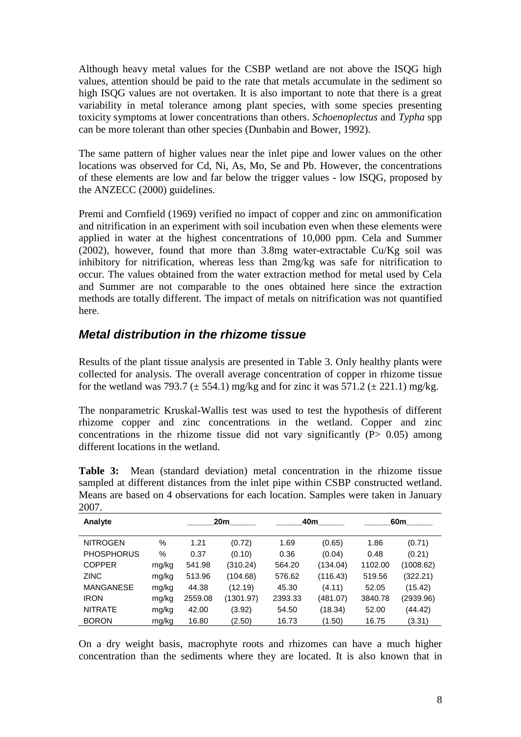Although heavy metal values for the CSBP wetland are not above the ISQG high values, attention should be paid to the rate that metals accumulate in the sediment so high ISQG values are not overtaken. It is also important to note that there is a great variability in metal tolerance among plant species, with some species presenting toxicity symptoms at lower concentrations than others. *Schoenoplectus* and *Typha* spp can be more tolerant than other species (Dunbabin and Bower, 1992).

The same pattern of higher values near the inlet pipe and lower values on the other locations was observed for Cd, Ni, As, Mo, Se and Pb. However, the concentrations of these elements are low and far below the trigger values - low ISQG, proposed by the ANZECC (2000) guidelines.

Premi and Cornfield (1969) verified no impact of copper and zinc on ammonification and nitrification in an experiment with soil incubation even when these elements were applied in water at the highest concentrations of 10,000 ppm. Cela and Summer (2002), however, found that more than 3.8mg water-extractable Cu/Kg soil was inhibitory for nitrification, whereas less than 2mg/kg was safe for nitrification to occur. The values obtained from the water extraction method for metal used by Cela and Summer are not comparable to the ones obtained here since the extraction methods are totally different. The impact of metals on nitrification was not quantified here.

## *Metal distribution in the rhizome tissue*

Results of the plant tissue analysis are presented in Table 3. Only healthy plants were collected for analysis. The overall average concentration of copper in rhizome tissue for the wetland was 793.7 ( $\pm$  554.1) mg/kg and for zinc it was 571.2 ( $\pm$  221.1) mg/kg.

The nonparametric Kruskal-Wallis test was used to test the hypothesis of different rhizome copper and zinc concentrations in the wetland. Copper and zinc concentrations in the rhizome tissue did not vary significantly  $(P> 0.05)$  among different locations in the wetland.

| 2007.             |       |         |           |         |          |                 |           |  |  |  |  |
|-------------------|-------|---------|-----------|---------|----------|-----------------|-----------|--|--|--|--|
| Analyte           |       | 20m     |           |         | 40m      | 60 <sub>m</sub> |           |  |  |  |  |
| <b>NITROGEN</b>   | $\%$  | 1.21    | (0.72)    | 1.69    | (0.65)   | 1.86            | (0.71)    |  |  |  |  |
| <b>PHOSPHORUS</b> | %     | 0.37    | (0.10)    | 0.36    | (0.04)   | 0.48            | (0.21)    |  |  |  |  |
| <b>COPPER</b>     | mg/kg | 541.98  | (310.24)  | 564.20  | (134.04) | 1102.00         | (1008.62) |  |  |  |  |
| <b>ZINC</b>       | mg/kg | 513.96  | (104.68)  | 576.62  | (116.43) | 519.56          | (322.21)  |  |  |  |  |
| <b>MANGANESE</b>  | mg/kg | 44.38   | (12.19)   | 45.30   | (4.11)   | 52.05           | (15.42)   |  |  |  |  |
| <b>IRON</b>       | mg/kg | 2559.08 | (1301.97) | 2393.33 | (481.07) | 3840.78         | (2939.96) |  |  |  |  |
| <b>NITRATE</b>    | mg/kg | 42.00   | (3.92)    | 54.50   | (18.34)  | 52.00           | (44.42)   |  |  |  |  |

**Table 3:** Mean (standard deviation) metal concentration in the rhizome tissue sampled at different distances from the inlet pipe within CSBP constructed wetland. Means are based on 4 observations for each location. Samples were taken in January

On a dry weight basis, macrophyte roots and rhizomes can have a much higher concentration than the sediments where they are located. It is also known that in

BORON mg/kg 16.80 (2.50) 16.73 (1.50) 16.75 (3.31)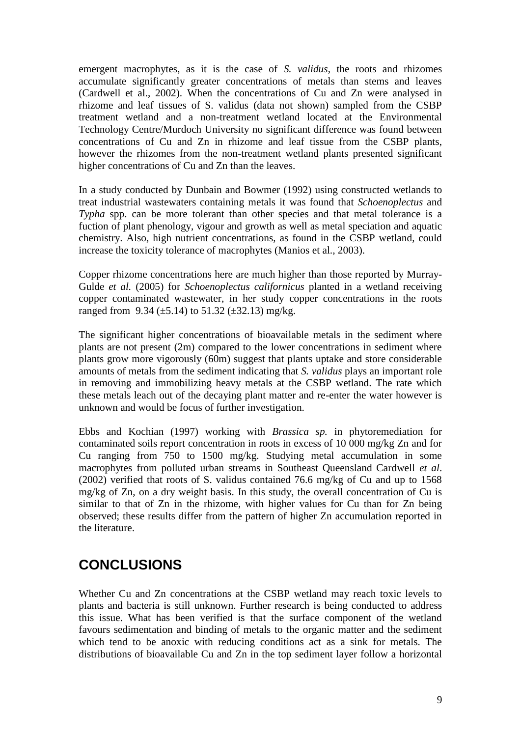emergent macrophytes, as it is the case of *S. validus*, the roots and rhizomes accumulate significantly greater concentrations of metals than stems and leaves (Cardwell et al., 2002). When the concentrations of Cu and Zn were analysed in rhizome and leaf tissues of S. validus (data not shown) sampled from the CSBP treatment wetland and a non-treatment wetland located at the Environmental Technology Centre/Murdoch University no significant difference was found between concentrations of Cu and Zn in rhizome and leaf tissue from the CSBP plants, however the rhizomes from the non-treatment wetland plants presented significant higher concentrations of Cu and Zn than the leaves.

In a study conducted by Dunbain and Bowmer (1992) using constructed wetlands to treat industrial wastewaters containing metals it was found that *Schoenoplectus* and *Typha* spp. can be more tolerant than other species and that metal tolerance is a fuction of plant phenology, vigour and growth as well as metal speciation and aquatic chemistry. Also, high nutrient concentrations, as found in the CSBP wetland, could increase the toxicity tolerance of macrophytes (Manios et al., 2003).

Copper rhizome concentrations here are much higher than those reported by Murray-Gulde *et al.* (2005) for *Schoenoplectus californicus* planted in a wetland receiving copper contaminated wastewater, in her study copper concentrations in the roots ranged from 9.34 ( $\pm$ 5.14) to 51.32 ( $\pm$ 32.13) mg/kg.

The significant higher concentrations of bioavailable metals in the sediment where plants are not present (2m) compared to the lower concentrations in sediment where plants grow more vigorously (60m) suggest that plants uptake and store considerable amounts of metals from the sediment indicating that *S. validus* plays an important role in removing and immobilizing heavy metals at the CSBP wetland. The rate which these metals leach out of the decaying plant matter and re-enter the water however is unknown and would be focus of further investigation.

Ebbs and Kochian (1997) working with *Brassica sp.* in phytoremediation for contaminated soils report concentration in roots in excess of 10 000 mg/kg Zn and for Cu ranging from 750 to 1500 mg/kg. Studying metal accumulation in some macrophytes from polluted urban streams in Southeast Queensland Cardwell *et al*. (2002) verified that roots of S. validus contained 76.6 mg/kg of Cu and up to 1568 mg/kg of Zn, on a dry weight basis. In this study, the overall concentration of Cu is similar to that of Zn in the rhizome, with higher values for Cu than for Zn being observed; these results differ from the pattern of higher Zn accumulation reported in the literature.

# **CONCLUSIONS**

Whether Cu and Zn concentrations at the CSBP wetland may reach toxic levels to plants and bacteria is still unknown. Further research is being conducted to address this issue. What has been verified is that the surface component of the wetland favours sedimentation and binding of metals to the organic matter and the sediment which tend to be anoxic with reducing conditions act as a sink for metals. The distributions of bioavailable Cu and Zn in the top sediment layer follow a horizontal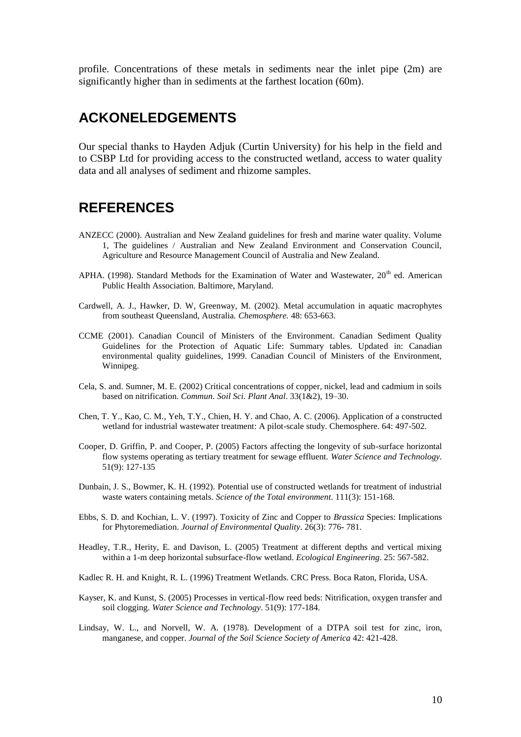profile. Concentrations of these metals in sediments near the inlet pipe (2m) are significantly higher than in sediments at the farthest location (60m).

# **ACKONELEDGEMENTS**

Our special thanks to Hayden Adjuk (Curtin University) for his help in the field and to CSBP Ltd for providing access to the constructed wetland, access to water quality data and all analyses of sediment and rhizome samples.

## **REFERENCES**

- ANZECC (2000). Australian and New Zealand guidelines for fresh and marine water quality. Volume 1, The guidelines / Australian and New Zealand Environment and Conservation Council, Agriculture and Resource Management Council of Australia and New Zealand.
- APHA. (1998). Standard Methods for the Examination of Water and Wastewater,  $20<sup>th</sup>$  ed. American Public Health Association. Baltimore, Maryland.
- Cardwell, A. J., Hawker, D. W, Greenway, M. (2002). Metal accumulation in aquatic macrophytes from southeast Queensland, Australia*. Chemosphere.* 48: 653-663.
- CCME (2001). Canadian Council of Ministers of the Environment. Canadian Sediment Quality Guidelines for the Protection of Aquatic Life: Summary tables. Updated in: Canadian environmental quality guidelines, 1999. Canadian Council of Ministers of the Environment, Winnipeg.
- Cela, S. and. Sumner, M. E. (2002) Critical concentrations of copper, nickel, lead and cadmium in soils based on nitrification. *Commun. Soil Sci. Plant Anal*. 33(1&2), 19–30.
- Chen, T. Y., Kao, C. M., Yeh, T.Y., Chien, H. Y. and Chao, A. C. (2006). Application of a constructed wetland for industrial wastewater treatment: A pilot-scale study. Chemosphere. 64: 497-502.
- Cooper, D. Griffin, P. and Cooper, P. (2005) Factors affecting the longevity of sub-surface horizontal flow systems operating as tertiary treatment for sewage effluent. *Water Science and Technology.* 51(9): 127-135
- Dunbain, J. S., Bowmer, K. H. (1992). Potential use of constructed wetlands for treatment of industrial waste waters containing metals. *Science of the Total environment*. 111(3): 151-168.
- Ebbs, S. D. and Kochian, L. V. (1997). Toxicity of Zinc and Copper to *Brassica* Species: Implications for Phytoremediation. *Journal of Environmental Quality*. 26(3): 776- 781.
- Headley, T.R., Herity, E. and Davison, L. (2005) Treatment at different depths and vertical mixing within a 1-m deep horizontal subsurface-flow wetland. *Ecological Engineering*. 25: 567-582.
- Kadlec R. H. and Knight, R. L. (1996) Treatment Wetlands. CRC Press. Boca Raton, Florida, USA.
- Kayser, K. and Kunst, S. (2005) Processes in vertical-flow reed beds: Nitrification, oxygen transfer and soil clogging. *Water Science and Technology*. 51(9): 177-184.
- Lindsay, W. L., and Norvell, W. A. (1978). Development of a DTPA soil test for zinc, iron, manganese, and copper. *Journal of the Soil Science Society of America* 42: 421-428.